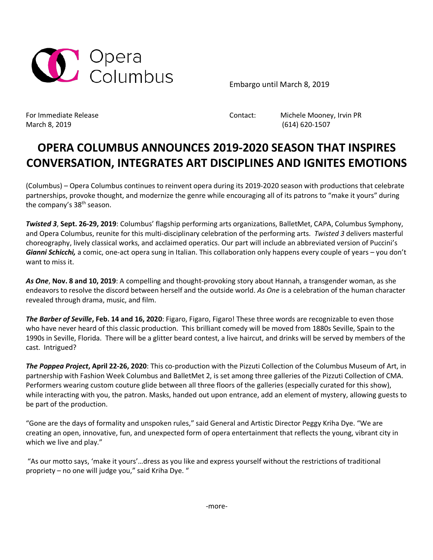

Embargo until March 8, 2019

March 8, 2019 (614) 620-1507

For Immediate Release **Contact:** Michele Mooney, Irvin PR

# **OPERA COLUMBUS ANNOUNCES 2019-2020 SEASON THAT INSPIRES CONVERSATION, INTEGRATES ART DISCIPLINES AND IGNITES EMOTIONS**

(Columbus) – Opera Columbus continues to reinvent opera during its 2019-2020 season with productions that celebrate partnerships, provoke thought, and modernize the genre while encouraging all of its patrons to "make it yours" during the company's 38<sup>th</sup> season.

*Twisted 3*, **Sept. 26-29, 2019**: Columbus' flagship performing arts organizations, BalletMet, CAPA, Columbus Symphony, and Opera Columbus, reunite for this multi-disciplinary celebration of the performing arts. *Twisted 3* delivers masterful choreography, lively classical works, and acclaimed operatics. Our part will include an abbreviated version of Puccini's *Gianni Schicchi,* a comic, one-act opera sung in Italian. This collaboration only happens every couple of years – you don't want to miss it.

*As One*, **Nov. 8 and 10, 2019**: A compelling and thought-provoking story about Hannah, a transgender woman, as she endeavors to resolve the discord between herself and the outside world. *As One* is a celebration of the human character revealed through drama, music, and film.

*The Barber of Seville***, Feb. 14 and 16, 2020**: Figaro, Figaro, Figaro! These three words are recognizable to even those who have never heard of this classic production. This brilliant comedy will be moved from 1880s Seville, Spain to the 1990s in Seville, Florida. There will be a glitter beard contest, a live haircut, and drinks will be served by members of the cast. Intrigued?

*The Poppea Project***, April 22-26, 2020**: This co-production with the Pizzuti Collection of the Columbus Museum of Art, in partnership with Fashion Week Columbus and BalletMet 2, is set among three galleries of the Pizzuti Collection of CMA. Performers wearing custom couture glide between all three floors of the galleries (especially curated for this show), while interacting with you, the patron. Masks, handed out upon entrance, add an element of mystery, allowing guests to be part of the production.

"Gone are the days of formality and unspoken rules," said General and Artistic Director Peggy Kriha Dye. "We are creating an open, innovative, fun, and unexpected form of opera entertainment that reflects the young, vibrant city in which we live and play."

"As our motto says, 'make it yours'…dress as you like and express yourself without the restrictions of traditional propriety – no one will judge you," said Kriha Dye. "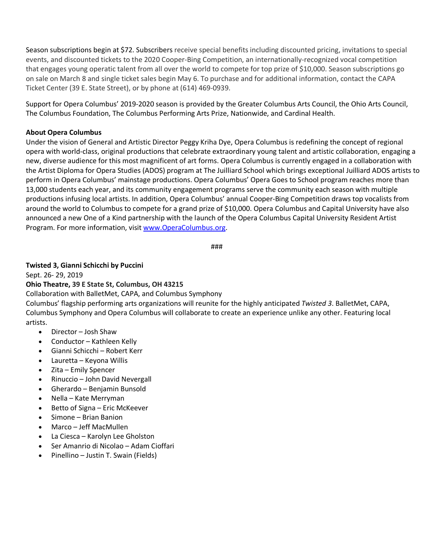Season subscriptions begin at \$72. Subscribers receive special benefits including discounted pricing, invitations to special events, and discounted tickets to the 2020 Cooper-Bing Competition, an internationally-recognized vocal competition that engages young operatic talent from all over the world to compete for top prize of \$10,000. Season subscriptions go on sale on March 8 and single ticket sales begin May 6. To purchase and for additional information, contact the CAPA Ticket Center (39 E. State Street), or by phone at (614) 469-0939.

Support for Opera Columbus' 2019-2020 season is provided by the Greater Columbus Arts Council, the Ohio Arts Council, The Columbus Foundation, The Columbus Performing Arts Prize, Nationwide, and Cardinal Health.

## **About Opera Columbus**

Under the vision of General and Artistic Director Peggy Kriha Dye, Opera Columbus is redefining the concept of regional opera with world-class, original productions that celebrate extraordinary young talent and artistic collaboration, engaging a new, diverse audience for this most magnificent of art forms. Opera Columbus is currently engaged in a collaboration with the Artist Diploma for Opera Studies (ADOS) program at The Juilliard School which brings exceptional Juilliard ADOS artists to perform in Opera Columbus' mainstage productions. Opera Columbus' Opera Goes to School program reaches more than 13,000 students each year, and its community engagement programs serve the community each season with multiple productions infusing local artists. In addition, Opera Columbus' annual Cooper-Bing Competition draws top vocalists from around the world to Columbus to compete for a grand prize of \$10,000. Opera Columbus and Capital University have also announced a new One of a Kind partnership with the launch of the Opera Columbus Capital University Resident Artist Program. For more information, visit www.OperaColumbus.org.

###

#### **Twisted 3, Gianni Schicchi by Puccini**

Sept. 26- 29, 2019

### **Ohio Theatre, 39 E State St, Columbus, OH 43215**

Collaboration with BalletMet, CAPA, and Columbus Symphony

Columbus' flagship performing arts organizations will reunite for the highly anticipated *Twisted 3*. BalletMet, CAPA, Columbus Symphony and Opera Columbus will collaborate to create an experience unlike any other. Featuring local artists.

- Director Josh Shaw
- Conductor Kathleen Kelly
- Gianni Schicchi Robert Kerr
- Lauretta Keyona Willis
- Zita Emily Spencer
- Rinuccio John David Nevergall
- Gherardo Benjamin Bunsold
- Nella Kate Merryman
- Betto of Signa Eric McKeever
- Simone Brian Banion
- Marco Jeff MacMullen
- La Ciesca Karolyn Lee Gholston
- Ser Amanrio di Nicolao Adam Cioffari
- Pinellino Justin T. Swain (Fields)